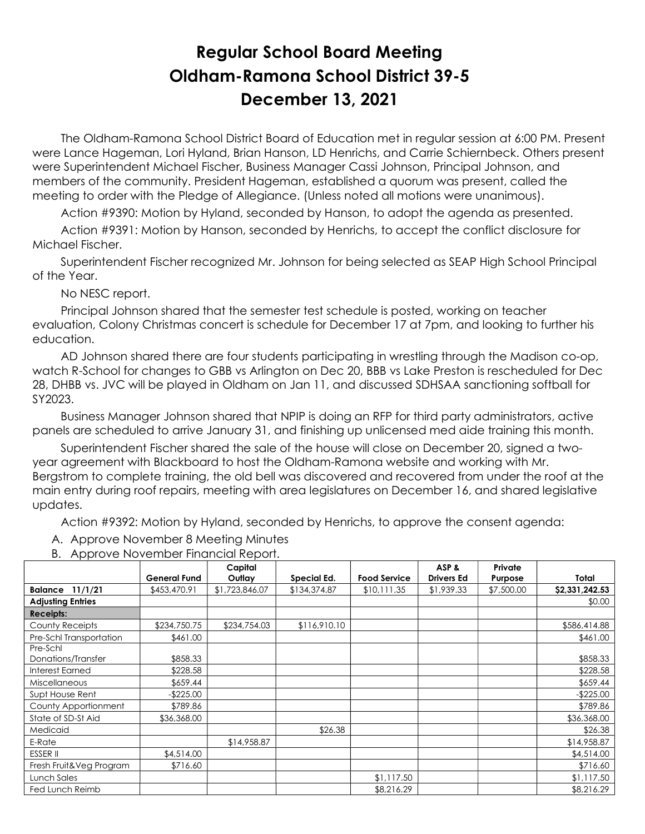## Regular School Board Meeting Oldham-Ramona School District 39-5 December 13, 2021

 The Oldham-Ramona School District Board of Education met in regular session at 6:00 PM. Present were Lance Hageman, Lori Hyland, Brian Hanson, LD Henrichs, and Carrie Schiernbeck. Others present were Superintendent Michael Fischer, Business Manager Cassi Johnson, Principal Johnson, and members of the community. President Hageman, established a quorum was present, called the meeting to order with the Pledge of Allegiance. (Unless noted all motions were unanimous).

Action #9390: Motion by Hyland, seconded by Hanson, to adopt the agenda as presented.

 Action #9391: Motion by Hanson, seconded by Henrichs, to accept the conflict disclosure for Michael Fischer.

 Superintendent Fischer recognized Mr. Johnson for being selected as SEAP High School Principal of the Year.

No NESC report.

 Principal Johnson shared that the semester test schedule is posted, working on teacher evaluation, Colony Christmas concert is schedule for December 17 at 7pm, and looking to further his education.

 AD Johnson shared there are four students participating in wrestling through the Madison co-op, watch R-School for changes to GBB vs Arlington on Dec 20, BBB vs Lake Preston is rescheduled for Dec 28, DHBB vs. JVC will be played in Oldham on Jan 11, and discussed SDHSAA sanctioning softball for SY2023.

 Business Manager Johnson shared that NPIP is doing an RFP for third party administrators, active panels are scheduled to arrive January 31, and finishing up unlicensed med aide training this month.

 Superintendent Fischer shared the sale of the house will close on December 20, signed a twoyear agreement with Blackboard to host the Oldham-Ramona website and working with Mr. Bergstrom to complete training, the old bell was discovered and recovered from under the roof at the main entry during roof repairs, meeting with area legislatures on December 16, and shared legislative updates.

Action #9392: Motion by Hyland, seconded by Henrichs, to approve the consent agenda:

- A. Approve November 8 Meeting Minutes
- B. Approve November Financial Report.

|                                |                     | Capital        |              |                     | ASP &             | Private    |                |
|--------------------------------|---------------------|----------------|--------------|---------------------|-------------------|------------|----------------|
|                                | <b>General Fund</b> | Outlay         | Special Ed.  | <b>Food Service</b> | <b>Drivers Ed</b> | Purpose    | Total          |
| <b>Balance 11/1/21</b>         | \$453,470.91        | \$1,723,846.07 | \$134,374.87 | \$10,111.35         | \$1,939.33        | \$7,500.00 | \$2,331,242.53 |
| <b>Adjusting Entries</b>       |                     |                |              |                     |                   |            | \$0.00         |
| <b>Receipts:</b>               |                     |                |              |                     |                   |            |                |
| County Receipts                | \$234,750.75        | \$234,754.03   | \$116,910.10 |                     |                   |            | \$586,414.88   |
| Pre-Schl Transportation        | \$461.00            |                |              |                     |                   |            | \$461.00       |
| Pre-Schl<br>Donations/Transfer | \$858.33            |                |              |                     |                   |            | \$858.33       |
| Interest Earned                | \$228.58            |                |              |                     |                   |            | \$228.58       |
| <b>Miscellaneous</b>           | \$659.44            |                |              |                     |                   |            | \$659.44       |
| Supt House Rent                | $-$225.00$          |                |              |                     |                   |            | $-$225.00$     |
| County Apportionment           | \$789.86            |                |              |                     |                   |            | \$789.86       |
| State of SD-St Aid             | \$36,368.00         |                |              |                     |                   |            | \$36,368.00    |
| Medicaid                       |                     |                | \$26.38      |                     |                   |            | \$26.38        |
| E-Rate                         |                     | \$14,958.87    |              |                     |                   |            | \$14,958.87    |
| <b>ESSER II</b>                | \$4,514.00          |                |              |                     |                   |            | \$4,514.00     |
| Fresh Fruit&Veg Program        | \$716.60            |                |              |                     |                   |            | \$716.60       |
| Lunch Sales                    |                     |                |              | \$1,117.50          |                   |            | \$1,117.50     |
| Fed Lunch Reimb                |                     |                |              | \$8,216.29          |                   |            | \$8,216.29     |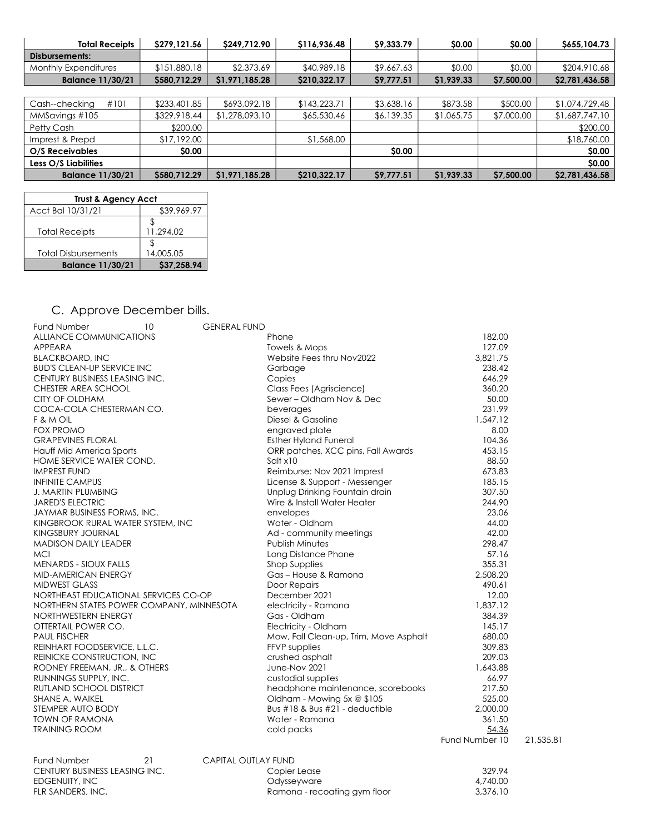| <b>Total Receipts</b>   | \$279,121.56 | S249.712.90    | \$116,936.48 | \$9,333.79 | <b>SO.00</b> | <b>SO.00</b> | S655,104.73    |
|-------------------------|--------------|----------------|--------------|------------|--------------|--------------|----------------|
| Disbursements:          |              |                |              |            |              |              |                |
| Monthly Expenditures    | \$151,880.18 | \$2,373.69     | \$40,989,18  | \$9,667.63 | \$0.00       | \$0.00       | \$204,910.68   |
| <b>Balance 11/30/21</b> | \$580,712.29 | \$1,971,185.28 | \$210,322.17 | \$9,777.51 | \$1,939.33   | \$7,500.00   | \$2,781,436.58 |
|                         |              |                |              |            |              |              |                |

| #101<br>Cash--checking  | \$233,401.85 | \$693,092.18   | \$143,223.71 | \$3,638.16   | \$873.58   | \$500.00   | \$1,074,729.48 |
|-------------------------|--------------|----------------|--------------|--------------|------------|------------|----------------|
| MMSavings #105          | \$329,918.44 | \$1,278,093.10 | \$65,530.46  | \$6,139.35   | \$1,065.75 | \$7,000.00 | \$1,687,747.10 |
| Petty Cash              | \$200.00     |                |              |              |            |            | \$200.00       |
| Imprest & Prepd         | \$17,192.00  |                | \$1,568.00   |              |            |            | \$18,760.00    |
| O/S Receivables         | <b>SO.00</b> |                |              | <b>SO.00</b> |            |            | <b>SO.00</b>   |
| Less O/S Liabilities    |              |                |              |              |            |            | <b>SO.00</b>   |
| <b>Balance 11/30/21</b> | \$580,712.29 | \$1,971,185.28 | \$210,322.17 | S9.777.51    | \$1,939.33 | \$7,500.00 | \$2,781,436.58 |

| <b>Trust &amp; Agency Acct</b> |             |  |  |  |  |
|--------------------------------|-------------|--|--|--|--|
| Acct Bal 10/31/21              | \$39,969.97 |  |  |  |  |
|                                |             |  |  |  |  |
| <b>Total Receipts</b>          | 11.294.02   |  |  |  |  |
|                                |             |  |  |  |  |
| <b>Total Disbursements</b>     | 14,005.05   |  |  |  |  |
| <b>Balance 11/30/21</b>        | \$37,258.94 |  |  |  |  |

## C. Approve December bills.

| Fund Number                              | 10 | <b>GENERAL FUND</b>        |                                        |                |           |
|------------------------------------------|----|----------------------------|----------------------------------------|----------------|-----------|
| ALLIANCE COMMUNICATIONS                  |    |                            | Phone                                  | 182.00         |           |
| APPEARA                                  |    |                            | Towels & Mops                          | 127.09         |           |
| <b>BLACKBOARD, INC</b>                   |    |                            | Website Fees thru Nov2022              | 3,821.75       |           |
| <b>BUD'S CLEAN-UP SERVICE INC</b>        |    |                            | Garbage                                | 238.42         |           |
| CENTURY BUSINESS LEASING INC.            |    |                            | Copies                                 | 646.29         |           |
| CHESTER AREA SCHOOL                      |    |                            | Class Fees (Agriscience)               | 360.20         |           |
| CITY OF OLDHAM                           |    |                            | Sewer - Oldham Nov & Dec               | 50.00          |           |
| COCA-COLA CHESTERMAN CO.                 |    |                            | beverages                              | 231.99         |           |
| F & M OIL                                |    |                            | Diesel & Gasoline                      | 1,547.12       |           |
| <b>FOX PROMO</b>                         |    |                            | engraved plate                         | 8.00           |           |
| <b>GRAPEVINES FLORAL</b>                 |    |                            | <b>Esther Hyland Funeral</b>           | 104.36         |           |
| Hauff Mid America Sports                 |    |                            | ORR patches, XCC pins, Fall Awards     | 453.15         |           |
| HOME SERVICE WATER COND.                 |    |                            | Soltx10                                | 88.50          |           |
| <b>IMPREST FUND</b>                      |    |                            | Reimburse: Nov 2021 Imprest            | 673.83         |           |
| <b>INFINITE CAMPUS</b>                   |    |                            | License & Support - Messenger          | 185.15         |           |
| <b>J. MARTIN PLUMBING</b>                |    |                            | Unplug Drinking Fountain drain         | 307.50         |           |
| <b>JARED'S ELECTRIC</b>                  |    |                            | Wire & Install Water Heater            | 244.90         |           |
| JAYMAR BUSINESS FORMS, INC.              |    |                            | envelopes                              | 23.06          |           |
| KINGBROOK RURAL WATER SYSTEM, INC        |    |                            | Water - Oldham                         | 44.00          |           |
| <b>KINGSBURY JOURNAL</b>                 |    |                            | Ad - community meetings                | 42.00          |           |
| <b>MADISON DAILY LEADER</b>              |    |                            | <b>Publish Minutes</b>                 | 298.47         |           |
| <b>MCI</b>                               |    |                            | Long Distance Phone                    | 57.16          |           |
| <b>MENARDS - SIOUX FALLS</b>             |    |                            | <b>Shop Supplies</b>                   | 355.31         |           |
| MID-AMERICAN ENERGY                      |    |                            | Gas - House & Ramona                   | 2,508.20       |           |
| <b>MIDWEST GLASS</b>                     |    |                            | Door Repairs                           | 490.61         |           |
| NORTHEAST EDUCATIONAL SERVICES CO-OP     |    |                            | December 2021                          | 12.00          |           |
| NORTHERN STATES POWER COMPANY, MINNESOTA |    |                            | electricity - Ramona                   | 1,837.12       |           |
| NORTHWESTERN ENERGY                      |    |                            | Gas - Oldham                           | 384.39         |           |
| OTTERTAIL POWER CO.                      |    |                            | Electricity - Oldham                   | 145.17         |           |
| <b>PAUL FISCHER</b>                      |    |                            | Mow, Fall Clean-up, Trim, Move Asphalt | 680.00         |           |
| REINHART FOODSERVICE, L.L.C.             |    |                            | FFVP supplies                          | 309.83         |           |
| REINICKE CONSTRUCTION, INC.              |    |                            | crushed asphalt                        | 209.03         |           |
| RODNEY FREEMAN, JR., & OTHERS            |    |                            | June-Nov 2021                          | 1,643.88       |           |
| RUNNINGS SUPPLY, INC.                    |    |                            | custodial supplies                     | 66.97          |           |
| RUTLAND SCHOOL DISTRICT                  |    |                            | headphone maintenance, scorebooks      | 217.50         |           |
| SHANE A. WAIKEL                          |    |                            | Oldham - Mowing 5x @ \$105             | 525.00         |           |
| STEMPER AUTO BODY                        |    |                            | Bus #18 & Bus #21 - deductible         | 2,000.00       |           |
| <b>TOWN OF RAMONA</b>                    |    |                            | Water - Ramona                         | 361.50         |           |
| <b>TRAINING ROOM</b>                     |    |                            | cold packs                             | 54.36          |           |
|                                          |    |                            |                                        | Fund Number 10 | 21,535.81 |
| Fund Number                              | 21 | <b>CAPITAL OUTLAY FUND</b> |                                        |                |           |
| CENTURY BUSINESS LEASING INC.            |    |                            | Copier Lease                           | 329.94         |           |
| EDGENUITY, INC                           |    |                            | Odysseyware                            | 4,740.00       |           |
| FLR SANDERS, INC.                        |    |                            | Ramona - recoating gym floor           | 3,376.10       |           |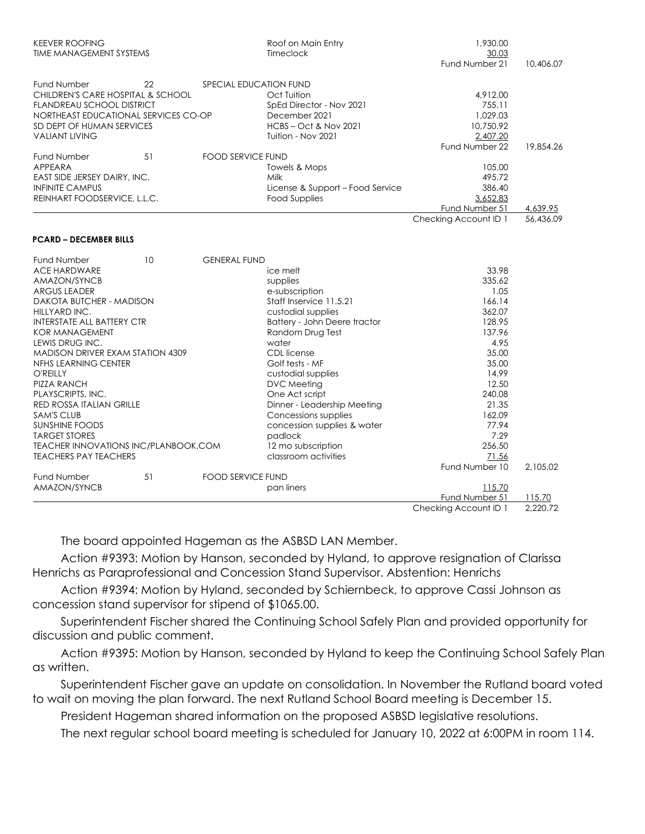| <b>KEEVER ROOFING</b><br><b>TIME MANAGEMENT SYSTEMS</b> |    |                          | Roof on Main Entry<br>Timeclock  | 1,930.00<br>30.03     |           |  |
|---------------------------------------------------------|----|--------------------------|----------------------------------|-----------------------|-----------|--|
|                                                         |    |                          |                                  | Fund Number 21        | 10,406.07 |  |
| Fund Number                                             | 22 | SPECIAL EDUCATION FUND   |                                  |                       |           |  |
| CHILDREN'S CARE HOSPITAL & SCHOOL                       |    |                          | Oct Tuition                      | 4,912.00              |           |  |
| <b>FLANDREAU SCHOOL DISTRICT</b>                        |    |                          | SpEd Director - Nov 2021         | 755.11                |           |  |
| NORTHEAST EDUCATIONAL SERVICES CO-OP                    |    |                          | December 2021                    | 1,029.03              |           |  |
| SD DEPT OF HUMAN SERVICES                               |    |                          | <b>HCBS-Oct &amp; Nov 2021</b>   | 10,750.92             |           |  |
| <b>VALIANT LIVING</b>                                   |    |                          | Tuition - Nov 2021               | 2,407.20              |           |  |
|                                                         |    |                          |                                  | Fund Number 22        | 19,854.26 |  |
| Fund Number                                             | 51 | <b>FOOD SERVICE FUND</b> |                                  |                       |           |  |
| APPEARA                                                 |    |                          | Towels & Mops                    | 105.00                |           |  |
| EAST SIDE JERSEY DAIRY, INC.                            |    |                          | Milk                             | 495.72                |           |  |
| <b>INFINITE CAMPUS</b>                                  |    |                          | License & Support - Food Service | 386.40                |           |  |
| REINHART FOODSERVICE, L.L.C.                            |    |                          | <b>Food Supplies</b>             | 3,652.83              |           |  |
|                                                         |    |                          |                                  | Fund Number 51        | 4,639.95  |  |
|                                                         |    |                          |                                  | Checking Account ID 1 | 56,436.09 |  |
| <b>PCARD - DECEMBER BILLS</b>                           |    |                          |                                  |                       |           |  |
|                                                         |    |                          |                                  |                       |           |  |
| Fund Number<br><b>ACE HARDWARE</b>                      | 10 | <b>GENERAL FUND</b>      | ice melt                         | 33.98                 |           |  |
| AMAZON/SYNCB                                            |    |                          | supplies                         | 335.62                |           |  |
| <b>ARGUS LEADER</b>                                     |    |                          | e-subscription                   | 1.05                  |           |  |
| DAKOTA BUTCHER - MADISON<br>HILLYARD INC.               |    |                          | Staff Inservice 11.5.21          | 166.14                |           |  |
|                                                         |    |                          | custodial supplies               | 362.07                |           |  |
| <b>INTERSTATE ALL BATTERY CTR</b>                       |    |                          | Battery - John Deere tractor     | 128.95                |           |  |
| <b>KOR MANAGEMENT</b>                                   |    |                          | Random Drug Test                 | 137.96                |           |  |
| LEWIS DRUG INC.                                         |    |                          | water                            | 4.95                  |           |  |
| MADISON DRIVER EXAM STATION 4309                        |    |                          | <b>CDL</b> license               | 35.00                 |           |  |
| NFHS LEARNING CENTER                                    |    |                          | Golf tests - MF                  | 35.00                 |           |  |
| O'REILLY                                                |    |                          | custodial supplies               | 14.99                 |           |  |
| PIZZA RANCH                                             |    |                          | DVC Meeting                      | 12.50                 |           |  |
| PLAYSCRIPTS, INC.                                       |    |                          | One Act script                   | 240.08                |           |  |
| <b>RED ROSSA ITALIAN GRILLE</b>                         |    |                          | Dinner - Leadership Meeting      | 21.35                 |           |  |
| <b>SAM'S CLUB</b>                                       |    |                          | Concessions supplies             | 162.09                |           |  |
| <b>SUNSHINE FOODS</b>                                   |    |                          | concession supplies & water      | 77.94                 |           |  |
| <b>TARGET STORES</b>                                    |    |                          | padlock                          | 7.29                  |           |  |
| TEACHER INNOVATIONS INC/PLANBOOK.COM                    |    |                          | 12 mo subscription               | 256.50                |           |  |
| <b>TEACHERS PAY TEACHERS</b>                            |    |                          | classroom activities             | 71.56                 |           |  |
|                                                         |    |                          |                                  | Fund Number 10        | 2.105.02  |  |
| <b>Fund Number</b>                                      | 51 | <b>FOOD SERVICE FUND</b> |                                  |                       |           |  |
| AMAZON/SYNCB                                            |    |                          | pan liners                       | 115.70                |           |  |
|                                                         |    |                          |                                  | Fund Number 51        | 115.70    |  |
|                                                         |    |                          |                                  | Checking Account ID 1 | 2.220.72  |  |

The board appointed Hageman as the ASBSD LAN Member.

 Action #9393: Motion by Hanson, seconded by Hyland, to approve resignation of Clarissa Henrichs as Paraprofessional and Concession Stand Supervisor. Abstention: Henrichs

 Action #9394: Motion by Hyland, seconded by Schiernbeck, to approve Cassi Johnson as concession stand supervisor for stipend of \$1065.00.

 Superintendent Fischer shared the Continuing School Safely Plan and provided opportunity for discussion and public comment.

 Action #9395: Motion by Hanson, seconded by Hyland to keep the Continuing School Safely Plan as written.

 Superintendent Fischer gave an update on consolidation. In November the Rutland board voted to wait on moving the plan forward. The next Rutland School Board meeting is December 15.

President Hageman shared information on the proposed ASBSD legislative resolutions.

The next regular school board meeting is scheduled for January 10, 2022 at 6:00PM in room 114.